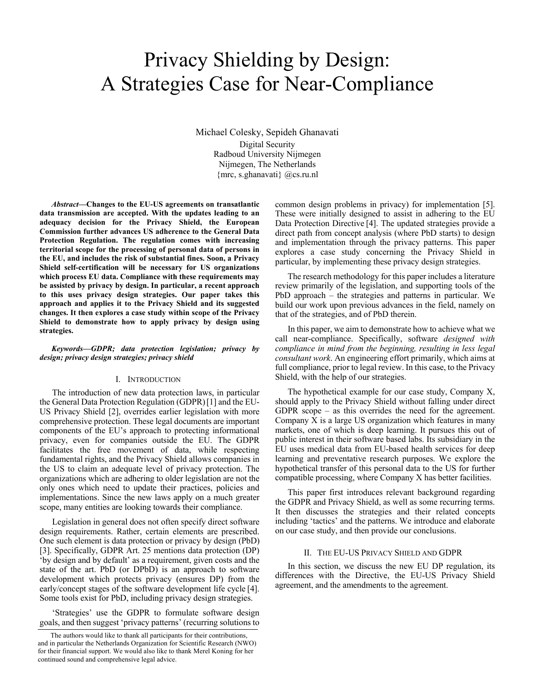# Privacy Shielding by Design: A Strategies Case for Near-Compliance

Michael Colesky, Sepideh Ghanavati Digital Security Radboud University Nijmegen Nijmegen, The Netherlands {mrc, s.ghanavati} @cs.ru.nl

*Abstract***—Changes to the EU-US agreements on transatlantic data transmission are accepted. With the updates leading to an adequacy decision for the Privacy Shield, the European Commission further advances US adherence to the General Data Protection Regulation. The regulation comes with increasing territorial scope for the processing of personal data of persons in the EU, and includes the risk of substantial fines. Soon, a Privacy Shield self-certification will be necessary for US organizations which process EU data. Compliance with these requirements may be assisted by privacy by design. In particular, a recent approach to this uses privacy design strategies. Our paper takes this approach and applies it to the Privacy Shield and its suggested changes. It then explores a case study within scope of the Privacy Shield to demonstrate how to apply privacy by design using strategies.** 

#### *Keywords—GDPR; data protection legislation; privacy by design; privacy design strategies; privacy shield*

## I. INTRODUCTION

The introduction of new data protection laws, in particular the General Data Protection Regulation (GDPR)[1] and the EU-US Privacy Shield [2], overrides earlier legislation with more comprehensive protection. These legal documents are important components of the EU's approach to protecting informational privacy, even for companies outside the EU. The GDPR facilitates the free movement of data, while respecting fundamental rights, and the Privacy Shield allows companies in the US to claim an adequate level of privacy protection. The organizations which are adhering to older legislation are not the only ones which need to update their practices, policies and implementations. Since the new laws apply on a much greater scope, many entities are looking towards their compliance.

Legislation in general does not often specify direct software design requirements. Rather, certain elements are prescribed. One such element is data protection or privacy by design (PbD) [3]. Specifically, GDPR Art. 25 mentions data protection (DP) 'by design and by default' as a requirement, given costs and the state of the art. PbD (or DPbD) is an approach to software development which protects privacy (ensures DP) from the early/concept stages of the software development life cycle [4]. Some tools exist for PbD, including privacy design strategies.

'Strategies' use the GDPR to formulate software design goals, and then suggest 'privacy patterns' (recurring solutions to

common design problems in privacy) for implementation [5]. These were initially designed to assist in adhering to the EU Data Protection Directive [4]. The updated strategies provide a direct path from concept analysis (where PbD starts) to design and implementation through the privacy patterns. This paper explores a case study concerning the Privacy Shield in particular, by implementing these privacy design strategies.

The research methodology for this paper includes a literature review primarily of the legislation, and supporting tools of the PbD approach – the strategies and patterns in particular. We build our work upon previous advances in the field, namely on that of the strategies, and of PbD therein.

In this paper, we aim to demonstrate how to achieve what we call near-compliance. Specifically, software *designed with compliance in mind from the beginning, resulting in less legal consultant work*. An engineering effort primarily, which aims at full compliance, prior to legal review. In this case, to the Privacy Shield, with the help of our strategies.

The hypothetical example for our case study, Company X, should apply to the Privacy Shield without falling under direct GDPR scope – as this overrides the need for the agreement. Company X is a large US organization which features in many markets, one of which is deep learning. It pursues this out of public interest in their software based labs. Its subsidiary in the EU uses medical data from EU-based health services for deep learning and preventative research purposes. We explore the hypothetical transfer of this personal data to the US for further compatible processing, where Company X has better facilities.

This paper first introduces relevant background regarding the GDPR and Privacy Shield, as well as some recurring terms. It then discusses the strategies and their related concepts including 'tactics' and the patterns. We introduce and elaborate on our case study, and then provide our conclusions.

#### II. THE EU-US PRIVACY SHIELD AND GDPR

In this section, we discuss the new EU DP regulation, its differences with the Directive, the EU-US Privacy Shield agreement, and the amendments to the agreement.

The authors would like to thank all participants for their contributions, and in particular the Netherlands Organization for Scientific Research (NWO) for their financial support. We would also like to thank Merel Koning for her continued sound and comprehensive legal advice.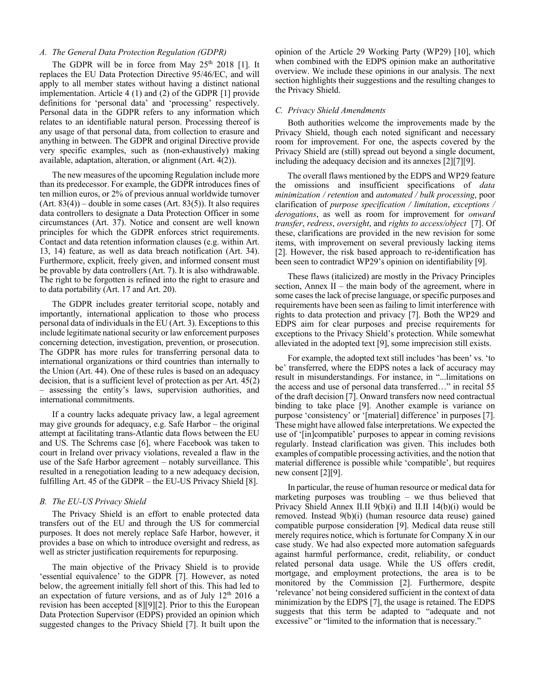## *A. The General Data Protection Regulation (GDPR)*

The GDPR will be in force from May  $25<sup>th</sup>$  2018 [1]. It replaces the EU Data Protection Directive 95/46/EC, and will apply to all member states without having a distinct national implementation. Article 4 (1) and (2) of the GDPR [1] provide definitions for 'personal data' and 'processing' respectively. Personal data in the GDPR refers to any information which relates to an identifiable natural person. Processing thereof is any usage of that personal data, from collection to erasure and anything in between. The GDPR and original Directive provide very specific examples, such as (non-exhaustively) making available, adaptation, alteration, or alignment (Art. 4(2)).

The new measures of the upcoming Regulation include more than its predecessor. For example, the GDPR introduces fines of ten million euros, or 2% of previous annual worldwide turnover  $(Art. 83(4))$  – double in some cases  $(Art. 83(5))$ . It also requires data controllers to designate a Data Protection Officer in some circumstances (Art. 37). Notice and consent are well known principles for which the GDPR enforces strict requirements. Contact and data retention information clauses (e.g. within Art. 13, 14) feature, as well as data breach notification (Art. 34). Furthermore, explicit, freely given, and informed consent must be provable by data controllers (Art. 7). It is also withdrawable. The right to be forgotten is refined into the right to erasure and to data portability (Art. 17 and Art. 20).

The GDPR includes greater territorial scope, notably and importantly, international application to those who process personal data of individuals in the EU (Art. 3). Exceptions to this include legitimate national security or law enforcement purposes concerning detection, investigation, prevention, or prosecution. The GDPR has more rules for transferring personal data to international organizations or third countries than internally to the Union (Art. 44). One of these rules is based on an adequacy decision, that is a sufficient level of protection as per Art. 45(2) – assessing the entity's laws, supervision authorities, and international commitments.

If a country lacks adequate privacy law, a legal agreement may give grounds for adequacy, e.g. Safe Harbor – the original attempt at facilitating trans-Atlantic data flows between the EU and US. The Schrems case [6], where Facebook was taken to court in Ireland over privacy violations, revealed a flaw in the use of the Safe Harbor agreement – notably surveillance. This resulted in a renegotiation leading to a new adequacy decision, fulfilling Art. 45 of the GDPR – the EU-US Privacy Shield [8].

#### *B. The EU-US Privacy Shield*

The Privacy Shield is an effort to enable protected data transfers out of the EU and through the US for commercial purposes. It does not merely replace Safe Harbor, however, it provides a base on which to introduce oversight and redress, as well as stricter justification requirements for repurposing.

The main objective of the Privacy Shield is to provide 'essential equivalence' to the GDPR [7]. However, as noted below, the agreement initially fell short of this. This had led to an expectation of future versions, and as of July 12th 2016 a revision has been accepted [8][9][2]. Prior to this the European Data Protection Supervisor (EDPS) provided an opinion which suggested changes to the Privacy Shield [7]. It built upon the opinion of the Article 29 Working Party (WP29) [10], which when combined with the EDPS opinion make an authoritative overview. We include these opinions in our analysis. The next section highlights their suggestions and the resulting changes to the Privacy Shield.

#### *C. Privacy Shield Amendments*

Both authorities welcome the improvements made by the Privacy Shield, though each noted significant and necessary room for improvement. For one, the aspects covered by the Privacy Shield are (still) spread out beyond a single document, including the adequacy decision and its annexes [2][7][9].

The overall flaws mentioned by the EDPS and WP29 feature the omissions and insufficient specifications of *data minimization / retention* and *automated / bulk processing*, poor clarification of *purpose specification / limitation*, *exceptions / derogations*, as well as room for improvement for *onward transfer*, *redress*, *oversight*, and *rights to access/object* [7]. Of these, clarifications are provided in the new revision for some items, with improvement on several previously lacking items [2]. However, the risk based approach to re-identification has been seen to contradict WP29's opinion on identifiability [9].

These flaws (italicized) are mostly in the Privacy Principles section, Annex II – the main body of the agreement, where in some cases the lack of precise language, or specific purposes and requirements have been seen as failing to limit interference with rights to data protection and privacy [7]. Both the WP29 and EDPS aim for clear purposes and precise requirements for exceptions to the Privacy Shield's protection. While somewhat alleviated in the adopted text [9], some imprecision still exists.

For example, the adopted text still includes 'has been' vs. 'to be' transferred, where the EDPS notes a lack of accuracy may result in misunderstandings. For instance, in "...limitations on the access and use of personal data transferred…" in recital 55 of the draft decision [7]. Onward transfers now need contractual binding to take place [9]. Another example is variance on purpose 'consistency' or '[material] difference' in purposes [7]. These might have allowed false interpretations. We expected the use of '[in]compatible' purposes to appear in coming revisions regularly. Instead clarification was given. This includes both examples of compatible processing activities, and the notion that material difference is possible while 'compatible', but requires new consent [2][9].

In particular, the reuse of human resource or medical data for marketing purposes was troubling – we thus believed that Privacy Shield Annex II.II 9(b)(i) and II.II 14(b)(i) would be removed. Instead 9(b)(i) (human resource data reuse) gained compatible purpose consideration [9]. Medical data reuse still merely requires notice, which is fortunate for Company X in our case study. We had also expected more automation safeguards against harmful performance, credit, reliability, or conduct related personal data usage. While the US offers credit, mortgage, and employment protections, the area is to be monitored by the Commission [2]. Furthermore, despite 'relevance' not being considered sufficient in the context of data minimization by the EDPS [7], the usage is retained. The EDPS suggests that this term be adapted to "adequate and not excessive" or "limited to the information that is necessary."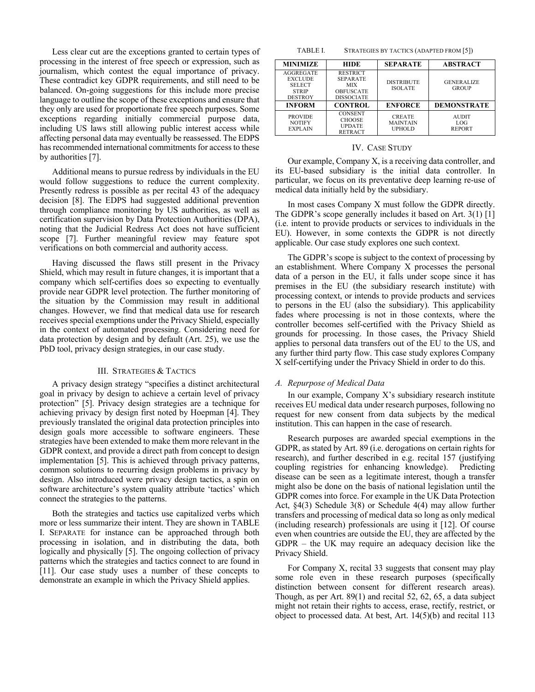Less clear cut are the exceptions granted to certain types of processing in the interest of free speech or expression, such as journalism, which contest the equal importance of privacy. These contradict key GDPR requirements, and still need to be balanced. On-going suggestions for this include more precise language to outline the scope of these exceptions and ensure that they only are used for proportionate free speech purposes. Some exceptions regarding initially commercial purpose data, including US laws still allowing public interest access while affecting personal data may eventually be reassessed. The EDPS has recommended international commitments for access to these by authorities [7].

Additional means to pursue redress by individuals in the EU would follow suggestions to reduce the current complexity. Presently redress is possible as per recital 43 of the adequacy decision [8]. The EDPS had suggested additional prevention through compliance monitoring by US authorities, as well as certification supervision by Data Protection Authorities (DPA), noting that the Judicial Redress Act does not have sufficient scope [7]. Further meaningful review may feature spot verifications on both commercial and authority access.

Having discussed the flaws still present in the Privacy Shield, which may result in future changes, it is important that a company which self-certifies does so expecting to eventually provide near GDPR level protection. The further monitoring of the situation by the Commission may result in additional changes. However, we find that medical data use for research receives special exemptions under the Privacy Shield, especially in the context of automated processing. Considering need for data protection by design and by default (Art. 25), we use the PbD tool, privacy design strategies, in our case study.

#### III. STRATEGIES & TACTICS

A privacy design strategy "specifies a distinct architectural goal in privacy by design to achieve a certain level of privacy protection" [5]. Privacy design strategies are a technique for achieving privacy by design first noted by Hoepman [4]. They previously translated the original data protection principles into design goals more accessible to software engineers. These strategies have been extended to make them more relevant in the GDPR context, and provide a direct path from concept to design implementation [5]. This is achieved through privacy patterns, common solutions to recurring design problems in privacy by design. Also introduced were privacy design tactics, a spin on software architecture's system quality attribute 'tactics' which connect the strategies to the patterns.

Both the strategies and tactics use capitalized verbs which more or less summarize their intent. They are shown in TABLE I. SEPARATE for instance can be approached through both processing in isolation, and in distributing the data, both logically and physically [5]. The ongoing collection of privacy patterns which the strategies and tactics connect to are found in [11]. Our case study uses a number of these concepts to demonstrate an example in which the Privacy Shield applies.

TABLE I. STRATEGIES BY TACTICS (ADAPTED FROM [5])

| <b>MINIMIZE</b>                                                                       | <b>HIDE</b>                                                                               | <b>SEPARATE</b>                                   | <b>ABSTRACT</b>                      |
|---------------------------------------------------------------------------------------|-------------------------------------------------------------------------------------------|---------------------------------------------------|--------------------------------------|
| <b>AGGREGATE</b><br><b>EXCLUDE</b><br><b>SELECT</b><br><b>STRIP</b><br><b>DESTROY</b> | <b>RESTRICT</b><br><b>SEPARATE</b><br><b>MIX</b><br><b>OBFUSCATE</b><br><b>DISSOCIATE</b> | <b>DISTRIBUTE</b><br><b>ISOLATE</b>               | <b>GENERALIZE</b><br><b>GROUP</b>    |
| <b>INFORM</b>                                                                         | <b>CONTROL</b>                                                                            | <b>ENFORCE</b>                                    | <b>DEMONSTRATE</b>                   |
| <b>PROVIDE</b><br><b>NOTIFY</b><br><b>EXPLAIN</b>                                     | <b>CONSENT</b><br><b>CHOOSE</b><br><b>UPDATE</b><br><b>RETRACT</b>                        | <b>CREATE</b><br><b>MAINTAIN</b><br><b>UPHOLD</b> | <b>AUDIT</b><br>LOG<br><b>REPORT</b> |

#### IV. CASE STUDY

Our example, Company X, is a receiving data controller, and its EU-based subsidiary is the initial data controller. In particular, we focus on its preventative deep learning re-use of medical data initially held by the subsidiary.

In most cases Company X must follow the GDPR directly. The GDPR's scope generally includes it based on Art. 3(1) [1] (i.e. intent to provide products or services to individuals in the EU). However, in some contexts the GDPR is not directly applicable. Our case study explores one such context.

The GDPR's scope is subject to the context of processing by an establishment. Where Company X processes the personal data of a person in the EU, it falls under scope since it has premises in the EU (the subsidiary research institute) with processing context, or intends to provide products and services to persons in the EU (also the subsidiary). This applicability fades where processing is not in those contexts, where the controller becomes self-certified with the Privacy Shield as grounds for processing. In those cases, the Privacy Shield applies to personal data transfers out of the EU to the US, and any further third party flow. This case study explores Company X self-certifying under the Privacy Shield in order to do this.

#### *A. Repurpose of Medical Data*

In our example, Company X's subsidiary research institute receives EU medical data under research purposes, following no request for new consent from data subjects by the medical institution. This can happen in the case of research.

Research purposes are awarded special exemptions in the GDPR, as stated by Art. 89 (i.e. derogations on certain rights for research), and further described in e.g. recital 157 (justifying coupling registries for enhancing knowledge). Predicting disease can be seen as a legitimate interest, though a transfer might also be done on the basis of national legislation until the GDPR comes into force. For example in the UK Data Protection Act, §4(3) Schedule 3(8) or Schedule 4(4) may allow further transfers and processing of medical data so long as only medical (including research) professionals are using it [12]. Of course even when countries are outside the EU, they are affected by the GDPR – the UK may require an adequacy decision like the Privacy Shield.

For Company X, recital 33 suggests that consent may play some role even in these research purposes (specifically distinction between consent for different research areas). Though, as per Art. 89(1) and recital 52, 62, 65, a data subject might not retain their rights to access, erase, rectify, restrict, or object to processed data. At best, Art. 14(5)(b) and recital 113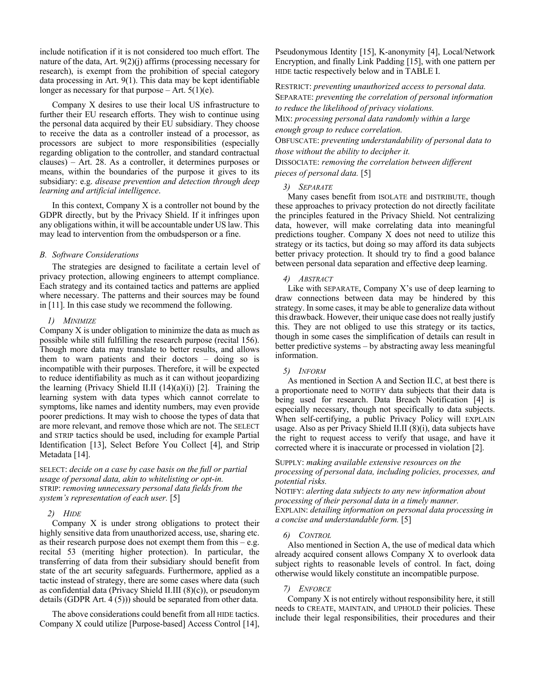include notification if it is not considered too much effort. The nature of the data, Art. 9(2)(j) affirms (processing necessary for research), is exempt from the prohibition of special category data processing in Art. 9(1). This data may be kept identifiable longer as necessary for that purpose  $-$  Art. 5(1)(e).

Company X desires to use their local US infrastructure to further their EU research efforts. They wish to continue using the personal data acquired by their EU subsidiary. They choose to receive the data as a controller instead of a processor, as processors are subject to more responsibilities (especially regarding obligation to the controller, and standard contractual clauses) – Art. 28. As a controller, it determines purposes or means, within the boundaries of the purpose it gives to its subsidiary: e.g. *disease prevention and detection through deep learning and artificial intelligence*.

In this context, Company  $X$  is a controller not bound by the GDPR directly, but by the Privacy Shield. If it infringes upon any obligations within, it will be accountable under US law. This may lead to intervention from the ombudsperson or a fine.

## *B. Software Considerations*

The strategies are designed to facilitate a certain level of privacy protection, allowing engineers to attempt compliance. Each strategy and its contained tactics and patterns are applied where necessary. The patterns and their sources may be found in [11]. In this case study we recommend the following.

#### *1) MINIMIZE*

Company X is under obligation to minimize the data as much as possible while still fulfilling the research purpose (recital 156). Though more data may translate to better results, and allows them to warn patients and their doctors – doing so is incompatible with their purposes. Therefore, it will be expected to reduce identifiability as much as it can without jeopardizing the learning (Privacy Shield II.II  $(14)(a)(i)$ ) [2]. Training the learning system with data types which cannot correlate to symptoms, like names and identity numbers, may even provide poorer predictions. It may wish to choose the types of data that are more relevant, and remove those which are not. The SELECT and STRIP tactics should be used, including for example Partial Identification [13], Select Before You Collect [4], and Strip Metadata [14].

SELECT: *decide on a case by case basis on the full or partial usage of personal data, akin to whitelisting or opt-in.*  STRIP: *removing unnecessary personal data fields from the system's representation of each user.* [5]

#### *2) HIDE*

Company X is under strong obligations to protect their highly sensitive data from unauthorized access, use, sharing etc. as their research purpose does not exempt them from this  $-e.g.$ recital 53 (meriting higher protection). In particular, the transferring of data from their subsidiary should benefit from state of the art security safeguards. Furthermore, applied as a tactic instead of strategy, there are some cases where data (such as confidential data (Privacy Shield II.III (8)(c)), or pseudonym details (GDPR Art. 4 (5))) should be separated from other data.

The above considerations could benefit from all HIDE tactics. Company X could utilize [Purpose-based] Access Control [14], Pseudonymous Identity [15], K-anonymity [4], Local/Network Encryption, and finally Link Padding [15], with one pattern per HIDE tactic respectively below and in TABLE I.

RESTRICT: *preventing unauthorized access to personal data.*  SEPARATE: *preventing the correlation of personal information to reduce the likelihood of privacy violations.* 

MIX: *processing personal data randomly within a large enough group to reduce correlation.*

OBFUSCATE: *preventing understandability of personal data to those without the ability to decipher it.* 

DISSOCIATE: *removing the correlation between different pieces of personal data.* [5]

#### *3) SEPARATE*

Many cases benefit from ISOLATE and DISTRIBUTE, though these approaches to privacy protection do not directly facilitate the principles featured in the Privacy Shield. Not centralizing data, however, will make correlating data into meaningful predictions tougher. Company X does not need to utilize this strategy or its tactics, but doing so may afford its data subjects better privacy protection. It should try to find a good balance between personal data separation and effective deep learning.

### *4) ABSTRACT*

Like with SEPARATE, Company  $X$ 's use of deep learning to draw connections between data may be hindered by this strategy. In some cases, it may be able to generalize data without this drawback. However, their unique case does not really justify this. They are not obliged to use this strategy or its tactics, though in some cases the simplification of details can result in better predictive systems – by abstracting away less meaningful information.

#### *5) INFORM*

As mentioned in Section A and Section II.C, at best there is a proportionate need to NOTIFY data subjects that their data is being used for research. Data Breach Notification [4] is especially necessary, though not specifically to data subjects. When self-certifying, a public Privacy Policy will EXPLAIN usage. Also as per Privacy Shield II.II (8)(i), data subjects have the right to request access to verify that usage, and have it corrected where it is inaccurate or processed in violation [2].

## SUPPLY: *making available extensive resources on the processing of personal data, including policies, processes, and potential risks.*

NOTIFY: *alerting data subjects to any new information about processing of their personal data in a timely manner.*  EXPLAIN: *detailing information on personal data processing in a concise and understandable form.* [5]

#### *6) CONTROL*

Also mentioned in Section A, the use of medical data which already acquired consent allows Company X to overlook data subject rights to reasonable levels of control. In fact, doing otherwise would likely constitute an incompatible purpose.

#### *7) ENFORCE*

Company X is not entirely without responsibility here, it still needs to CREATE, MAINTAIN, and UPHOLD their policies. These include their legal responsibilities, their procedures and their